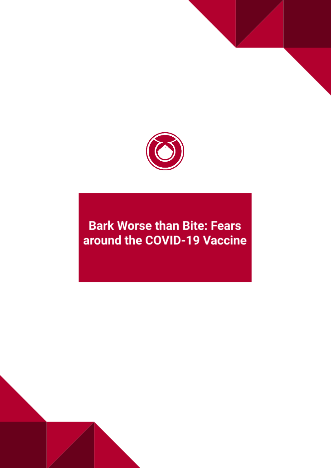

## **Bark Worse than Bite: Fears** around the COVID-19 Vaccine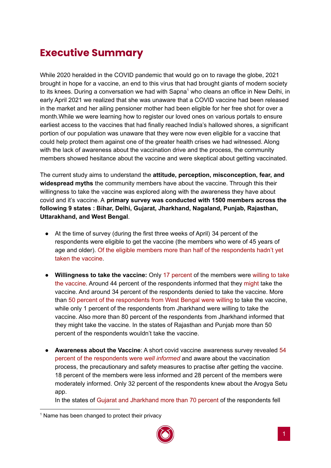## **Executive Summary**

While 2020 heralded in the COVID pandemic that would go on to ravage the globe, 2021 brought in hope for a vaccine, an end to this virus that had brought giants of modern society to its knees. During a conversation we had with Sapna<sup>1</sup> who cleans an office in New Delhi, in early April 2021 we realized that she was unaware that a COVID vaccine had been released in the market and her ailing pensioner mother had been eligible for her free shot for over a month.While we were learning how to register our loved ones on various portals to ensure earliest access to the vaccines that had finally reached India's hallowed shores, a significant portion of our population was unaware that they were now even eligible for a vaccine that could help protect them against one of the greater health crises we had witnessed. Along with the lack of awareness about the vaccination drive and the process, the community members showed hesitance about the vaccine and were skeptical about getting vaccinated.

The current study aims to understand the **attitude, perception, misconception, fear, and widespread myths** the community members have about the vaccine. Through this their willingness to take the vaccine was explored along with the awareness they have about covid and it's vaccine. A **primary survey was conducted with 1500 members across the following 9 states : Bihar, Delhi, Gujarat, Jharkhand, Nagaland, Punjab, Rajasthan, Uttarakhand, and West Bengal**.

- At the time of survey (during the first three weeks of April) 34 percent of the respondents were eligible to get the vaccine (the members who were of 45 years of age and older). Of the eligible members more than half of the respondents hadn't yet taken the vaccine.
- **Willingness to take the vaccine:** Only 17 percent of the members were willing to take the vaccine. Around 44 percent of the respondents informed that they might take the vaccine. And around 34 percent of the respondents denied to take the vaccine. More than 50 percent of the respondents from West Bengal were willing to take the vaccine, while only 1 percent of the respondents from Jharkhand were willing to take the vaccine. Also more than 80 percent of the respondents from Jharkhand informed that they might take the vaccine. In the states of Rajasthan and Punjab more than 50 percent of the respondents wouldn't take the vaccine.
- **Awareness about the Vaccine**: A short covid vaccine awareness survey revealed 54 percent of the respondents were *well informed* and aware about the vaccination process, the precautionary and safety measures to practise after getting the vaccine. 18 percent of the members were less informed and 28 percent of the members were moderately informed. Only 32 percent of the respondents knew about the Arogya Setu app.

In the states of Gujarat and Jharkhand more than 70 percent of the respondents fell

 $<sup>1</sup>$  Name has been changed to protect their privacy</sup>

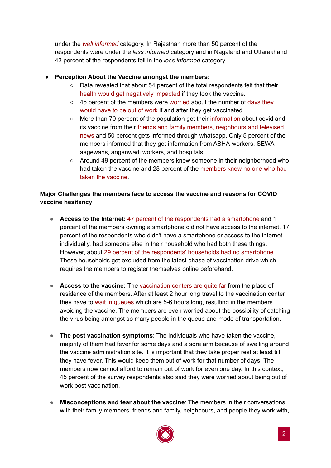under the *well informed* category. In Rajasthan more than 50 percent of the respondents were under the *less informed* category and in Nagaland and Uttarakhand 43 percent of the respondents fell in the *less informed* category.

## **● Perception About the Vaccine amongst the members:**

- **○** Data revealed that about 54 percent of the total respondents felt that their health would get negatively impacted if they took the vaccine.
- **○** 45 percent of the members were worried about the number of days they would have to be out of work if and after they get vaccinated.
- **○** More than 70 percent of the population get their information about covid and its vaccine from their friends and family members, neighbours and televised news and 50 percent gets informed through whatsapp. Only 5 percent of the members informed that they get information from ASHA workers, SEWA aagewans, anganwadi workers, and hospitals.
- **○** Around 49 percent of the members knew someone in their neighborhood who had taken the vaccine and 28 percent of the members knew no one who had taken the vaccine.

## **Major Challenges the members face to access the vaccine and reasons for COVID vaccine hesitancy**

- **Access to the Internet:** 47 percent of the respondents had a smartphone and 1 percent of the members owning a smartphone did not have access to the internet. 17 percent of the respondents who didn't have a smartphone or access to the internet individually, had someone else in their household who had both these things. However, about 29 percent of the respondents' households had no smartphone. These households get excluded from the latest phase of vaccination drive which requires the members to register themselves online beforehand.
- **Access to the vaccine:** The vaccination centers are quite far from the place of residence of the members. After at least 2 hour long travel to the vaccination center they have to wait in queues which are 5-6 hours long, resulting in the members avoiding the vaccine. The members are even worried about the possibility of catching the virus being amongst so many people in the queue and mode of transportation.
- **The post vaccination symptoms**: The individuals who have taken the vaccine, majority of them had fever for some days and a sore arm because of swelling around the vaccine administration site. It is important that they take proper rest at least till they have fever. This would keep them out of work for that number of days. The members now cannot afford to remain out of work for even one day. In this context, 45 percent of the survey respondents also said they were worried about being out of work post vaccination.
- **Misconceptions and fear about the vaccine**: The members in their conversations with their family members, friends and family, neighbours, and people they work with,